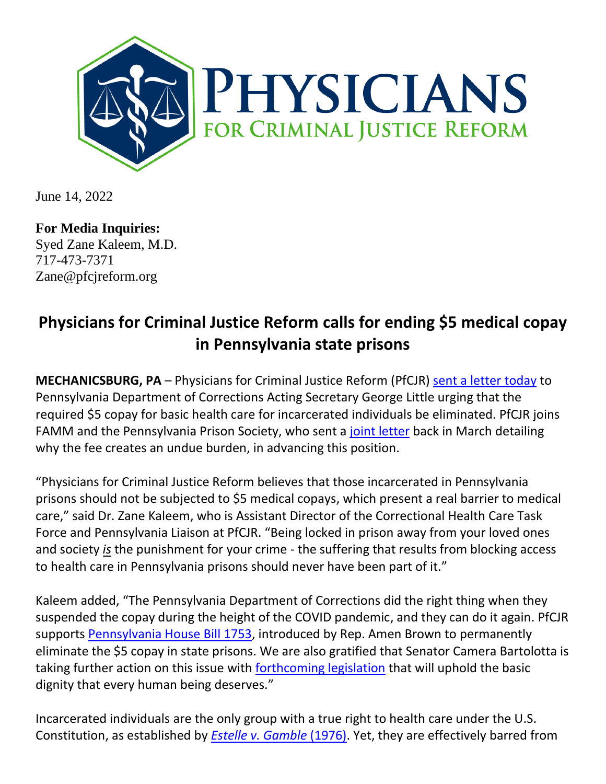

June 14, 2022

**For Media Inquiries:** Syed Zane Kaleem, M.D. 717-473-7371 Zane@pfcjreform.org

## **Physicians for Criminal Justice Reform calls for ending \$5 medical copay in Pennsylvania state prisons**

**MECHANICSBURG, PA** – Physicians for Criminal Justice Reform (PfCJR) [sent a letter today](https://drive.google.com/file/d/1bM_jeMpK6cw3CfVqKUaTMJJjypj17X58/view?usp=sharing) to Pennsylvania Department of Corrections Acting Secretary George Little urging that the required \$5 copay for basic health care for incarcerated individuals be eliminated. PfCJR joins FAMM and the Pennsylvania Prison Society, who sent a [joint letter](https://famm.org/famm-and-pennsylvania-prison-society-urge-pennsylvanias-secretary-of-corrections-to-end-5-medical-copays-for-incarcerated-people/) back in March detailing why the fee creates an undue burden, in advancing this position.

"Physicians for Criminal Justice Reform believes that those incarcerated in Pennsylvania prisons should not be subjected to \$5 medical copays, which present a real barrier to medical care," said Dr. Zane Kaleem, who is Assistant Director of the Correctional Health Care Task Force and Pennsylvania Liaison at PfCJR. "Being locked in prison away from your loved ones and society *is* the punishment for your crime - the suffering that results from blocking access to health care in Pennsylvania prisons should never have been part of it."

Kaleem added, "The Pennsylvania Department of Corrections did the right thing when they suspended the copay during the height of the COVID pandemic, and they can do it again. PfCJR supports [Pennsylvania House Bill 1753,](https://www.legis.state.pa.us/cfdocs/billinfo/BillInfo.cfm?syear=2021&sind=0&body=H&type=B&bn=1753) introduced by Rep. Amen Brown to permanently eliminate the \$5 copay in state prisons. We are also gratified that Senator Camera Bartolotta is taking further action on this issue with **[forthcoming legislation](https://www.legis.state.pa.us/cfdocs/Legis/CSM/showMemoPublic.cfm?chamber=S&SPick=20210&cosponId=36574)** that will uphold the basic dignity that every human being deserves."

Incarcerated individuals are the only group with a true right to health care under the U.S. Constitution, as established by *[Estelle v. Gamble](https://supreme.justia.com/cases/federal/us/429/97/)* (1976). Yet, they are effectively barred from